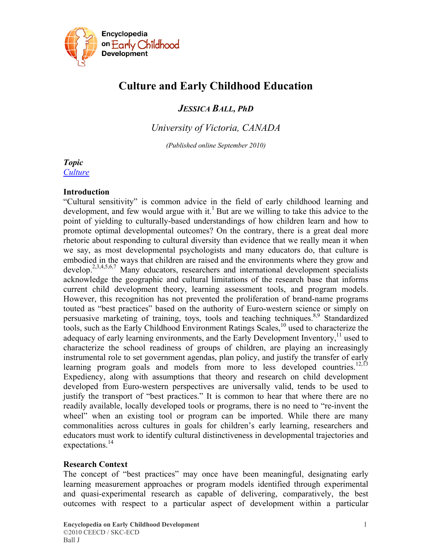

# **Culture and Early Childhood Education**

*JESSICA BALL, PhD* 

*University of Victoria, CANADA* 

*(Published online September 2010)* 

## *Topic*

*[Culture](http://www.child-encyclopedia.com/en-ca/culture/how-important-it-is.html)*

### **Introduction**

"Cultural sensitivity" is common advice in the field of early childhood learning and development, and few would argue with it.<sup>1</sup> But are we willing to take this advice to the point of yielding to culturally-based understandings of how children learn and how to promote optimal developmental outcomes? On the contrary, there is a great deal more rhetoric about responding to cultural diversity than evidence that we really mean it when we say, as most developmental psychologists and many educators do, that culture is embodied in the ways that children are raised and the environments where they grow and  $develop.<sup>2,3,4,5,6,7</sup>$  Many educators, researchers and international development specialists acknowledge the geographic and cultural limitations of the research base that informs current child development theory, learning assessment tools, and program models. However, this recognition has not prevented the proliferation of brand-name programs touted as "best practices" based on the authority of Euro-western science or simply on persuasive marketing of training, toys, tools and teaching techniques.<sup>8,9</sup> Standardized tools, such as the Early Childhood Environment Ratings Scales,<sup>10</sup> used to characterize the adequacy of early learning environments, and the Early Development Inventory,<sup>11</sup> used to characterize the school readiness of groups of children, are playing an increasingly instrumental role to set government agendas, plan policy, and justify the transfer of early learning program goals and models from more to less developed countries.<sup>12,13</sup> Expediency, along with assumptions that theory and research on child development developed from Euro-western perspectives are universally valid, tends to be used to justify the transport of "best practices." It is common to hear that where there are no readily available, locally developed tools or programs, there is no need to "re-invent the wheel" when an existing tool or program can be imported. While there are many commonalities across cultures in goals for children's early learning, researchers and educators must work to identify cultural distinctiveness in developmental trajectories and expectations.<sup>14</sup>

### **Research Context**

The concept of "best practices" may once have been meaningful, designating early learning measurement approaches or program models identified through experimental and quasi-experimental research as capable of delivering, comparatively, the best outcomes with respect to a particular aspect of development within a particular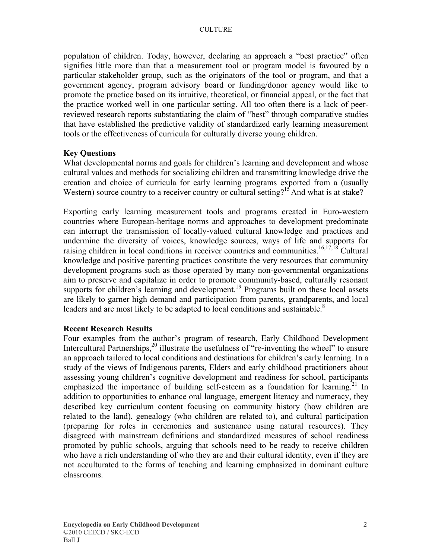population of children. Today, however, declaring an approach a "best practice" often signifies little more than that a measurement tool or program model is favoured by a particular stakeholder group, such as the originators of the tool or program, and that a government agency, program advisory board or funding/donor agency would like to promote the practice based on its intuitive, theoretical, or financial appeal, or the fact that the practice worked well in one particular setting. All too often there is a lack of peerreviewed research reports substantiating the claim of "best" through comparative studies that have established the predictive validity of standardized early learning measurement tools or the effectiveness of curricula for culturally diverse young children.

#### **Key Questions**

What developmental norms and goals for children's learning and development and whose cultural values and methods for socializing children and transmitting knowledge drive the creation and choice of curricula for early learning programs exported from a (usually Western) source country to a receiver country or cultural setting?<sup>15</sup>And what is at stake?

Exporting early learning measurement tools and programs created in Euro-western countries where European-heritage norms and approaches to development predominate can interrupt the transmission of locally-valued cultural knowledge and practices and undermine the diversity of voices, knowledge sources, ways of life and supports for raising children in local conditions in receiver countries and communities.<sup>16,17,18</sup> Cultural knowledge and positive parenting practices constitute the very resources that community development programs such as those operated by many non-governmental organizations aim to preserve and capitalize in order to promote community-based, culturally resonant supports for children's learning and development.<sup>19</sup> Programs built on these local assets are likely to garner high demand and participation from parents, grandparents, and local leaders and are most likely to be adapted to local conditions and sustainable.<sup>8</sup>

#### **Recent Research Results**

Four examples from the author's program of research, Early Childhood Development Intercultural Partnerships,  $20$  illustrate the usefulness of "re-inventing the wheel" to ensure an approach tailored to local conditions and destinations for children's early learning. In a study of the views of Indigenous parents, Elders and early childhood practitioners about assessing young children's cognitive development and readiness for school, participants emphasized the importance of building self-esteem as a foundation for learning.<sup>21</sup> In addition to opportunities to enhance oral language, emergent literacy and numeracy, they described key curriculum content focusing on community history (how children are related to the land), genealogy (who children are related to), and cultural participation (preparing for roles in ceremonies and sustenance using natural resources). They disagreed with mainstream definitions and standardized measures of school readiness promoted by public schools, arguing that schools need to be ready to receive children who have a rich understanding of who they are and their cultural identity, even if they are not acculturated to the forms of teaching and learning emphasized in dominant culture classrooms.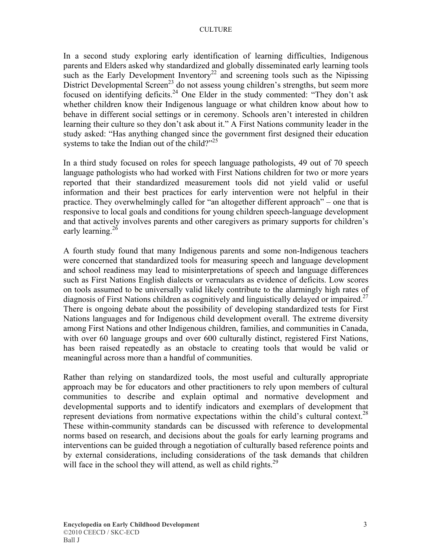#### **CULTURE**

In a second study exploring early identification of learning difficulties, Indigenous parents and Elders asked why standardized and globally disseminated early learning tools such as the Early Development Inventory<sup>22</sup> and screening tools such as the Nipissing District Developmental Screen<sup>23</sup> do not assess young children's strengths, but seem more focused on identifying deficits.<sup>24</sup> One Elder in the study commented: "They don't ask whether children know their Indigenous language or what children know about how to behave in different social settings or in ceremony. Schools aren't interested in children learning their culture so they don't ask about it." A First Nations community leader in the study asked: "Has anything changed since the government first designed their education systems to take the Indian out of the child?"<sup>25</sup>

In a third study focused on roles for speech language pathologists, 49 out of 70 speech language pathologists who had worked with First Nations children for two or more years reported that their standardized measurement tools did not yield valid or useful information and their best practices for early intervention were not helpful in their practice. They overwhelmingly called for "an altogether different approach" – one that is responsive to local goals and conditions for young children speech-language development and that actively involves parents and other caregivers as primary supports for children's early learning.<sup>26</sup>

A fourth study found that many Indigenous parents and some non-Indigenous teachers were concerned that standardized tools for measuring speech and language development and school readiness may lead to misinterpretations of speech and language differences such as First Nations English dialects or vernaculars as evidence of deficits. Low scores on tools assumed to be universally valid likely contribute to the alarmingly high rates of diagnosis of First Nations children as cognitively and linguistically delayed or impaired.<sup>27</sup> There is ongoing debate about the possibility of developing standardized tests for First Nations languages and for Indigenous child development overall. The extreme diversity among First Nations and other Indigenous children, families, and communities in Canada, with over 60 language groups and over 600 culturally distinct, registered First Nations, has been raised repeatedly as an obstacle to creating tools that would be valid or meaningful across more than a handful of communities.

Rather than relying on standardized tools, the most useful and culturally appropriate approach may be for educators and other practitioners to rely upon members of cultural communities to describe and explain optimal and normative development and developmental supports and to identify indicators and exemplars of development that represent deviations from normative expectations within the child's cultural context.<sup>28</sup> These within-community standards can be discussed with reference to developmental norms based on research, and decisions about the goals for early learning programs and interventions can be guided through a negotiation of culturally based reference points and by external considerations, including considerations of the task demands that children will face in the school they will attend, as well as child rights.<sup>29</sup>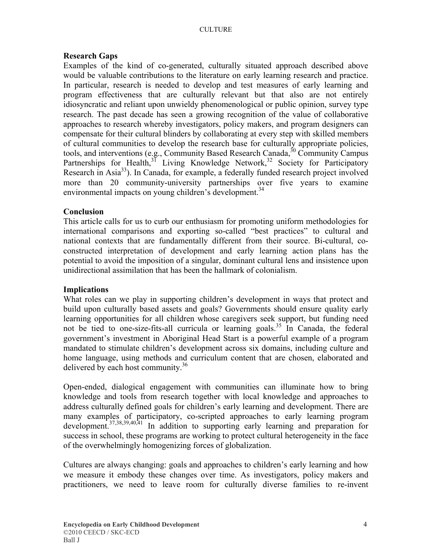#### **Research Gaps**

Examples of the kind of co-generated, culturally situated approach described above would be valuable contributions to the literature on early learning research and practice. In particular, research is needed to develop and test measures of early learning and program effectiveness that are culturally relevant but that also are not entirely idiosyncratic and reliant upon unwieldy phenomenological or public opinion, survey type research. The past decade has seen a growing recognition of the value of collaborative approaches to research whereby investigators, policy makers, and program designers can compensate for their cultural blinders by collaborating at every step with skilled members of cultural communities to develop the research base for culturally appropriate policies, tools, and interventions (e.g., Community Based Research Canada,  $30$  Community Campus Partnerships for Health, $31$  Living Knowledge Network,  $32$  Society for Participatory Research in Asia<sup>33</sup>). In Canada, for example, a federally funded research project involved more than 20 community-university partnerships over five years to examine environmental impacts on young children's development.<sup>34</sup>

#### **Conclusion**

This article calls for us to curb our enthusiasm for promoting uniform methodologies for international comparisons and exporting so-called "best practices" to cultural and national contexts that are fundamentally different from their source. Bi-cultural, coconstructed interpretation of development and early learning action plans has the potential to avoid the imposition of a singular, dominant cultural lens and insistence upon unidirectional assimilation that has been the hallmark of colonialism.

#### **Implications**

What roles can we play in supporting children's development in ways that protect and build upon culturally based assets and goals? Governments should ensure quality early learning opportunities for all children whose caregivers seek support, but funding need not be tied to one-size-fits-all curricula or learning goals.<sup>35</sup> In Canada, the federal government's investment in Aboriginal Head Start is a powerful example of a program mandated to stimulate children's development across six domains, including culture and home language, using methods and curriculum content that are chosen, elaborated and delivered by each host community.<sup>36</sup>

Open-ended, dialogical engagement with communities can illuminate how to bring knowledge and tools from research together with local knowledge and approaches to address culturally defined goals for children's early learning and development. There are many examples of participatory, co-scripted approaches to early learning program development.<sup>37,38,39,40,41</sup> In addition to supporting early learning and preparation for success in school, these programs are working to protect cultural heterogeneity in the face of the overwhelmingly homogenizing forces of globalization.

Cultures are always changing: goals and approaches to children's early learning and how we measure it embody these changes over time. As investigators, policy makers and practitioners, we need to leave room for culturally diverse families to re-invent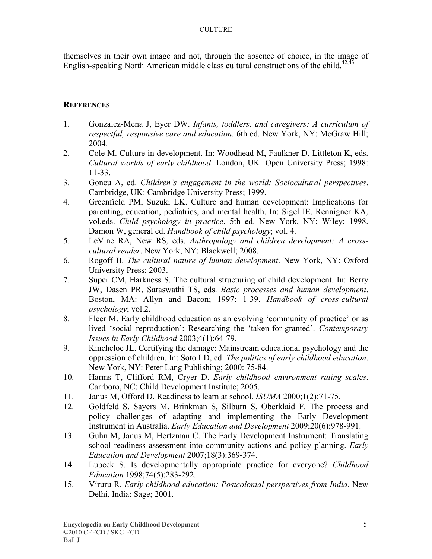themselves in their own image and not, through the absence of choice, in the image of English-speaking North American middle class cultural constructions of the child.<sup>42,43</sup>

#### **REFERENCES**

- 1. Gonzalez-Mena J, Eyer DW. *Infants, toddlers, and caregivers: A curriculum of respectful, responsive care and education*. 6th ed. New York, NY: McGraw Hill; 2004.
- 2. Cole M. Culture in development. In: Woodhead M, Faulkner D, Littleton K, eds. *Cultural worlds of early childhood*. London, UK: Open University Press; 1998: 11-33.
- 3. Goncu A, ed. *Children's engagement in the world: Sociocultural perspectives*. Cambridge, UK: Cambridge University Press; 1999.
- 4. Greenfield PM, Suzuki LK. Culture and human development: Implications for parenting, education, pediatrics, and mental health. In: Sigel IE, Rennigner KA, vol.eds. *Child psychology in practice*. 5th ed. New York, NY: Wiley; 1998. Damon W, general ed. *Handbook of child psychology*; vol. 4.
- 5. LeVine RA, New RS, eds. *Anthropology and children development: A crosscultural reader*. New York, NY: Blackwell; 2008.
- 6. Rogoff B. *The cultural nature of human development*. New York, NY: Oxford University Press; 2003.
- 7. Super CM, Harkness S. The cultural structuring of child development. In: Berry JW, Dasen PR, Saraswathi TS, eds. *Basic processes and human development*. Boston, MA: Allyn and Bacon; 1997: 1-39. *Handbook of cross-cultural psychology*; vol.2.
- 8. Fleer M. Early childhood education as an evolving 'community of practice' or as lived 'social reproduction': Researching the 'taken-for-granted'. *Contemporary Issues in Early Childhood* 2003;4(1):64-79.
- 9. Kincheloe JL. Certifying the damage: Mainstream educational psychology and the oppression of children. In: Soto LD, ed. *The politics of early childhood education*. New York, NY: Peter Lang Publishing; 2000: 75-84.
- 10. Harms T, Clifford RM, Cryer D. *Early childhood environment rating scales*. Carrboro, NC: Child Development Institute; 2005.
- 11. Janus M, Offord D. Readiness to learn at school. *ISUMA* 2000;1(2):71-75.
- 12. Goldfeld S, Sayers M, Brinkman S, Silburn S, Oberklaid F. The process and policy challenges of adapting and implementing the Early Development Instrument in Australia. *Early Education and Development* 2009;20(6):978-991.
- 13. Guhn M, Janus M, Hertzman C. The Early Development Instrument: Translating school readiness assessment into community actions and policy planning. *Early Education and Development* 2007;18(3):369-374.
- 14. Lubeck S. Is developmentally appropriate practice for everyone? *Childhood Education* 1998;74(5):283-292.
- 15. Viruru R. *Early childhood education: Postcolonial perspectives from India*. New Delhi, India: Sage; 2001.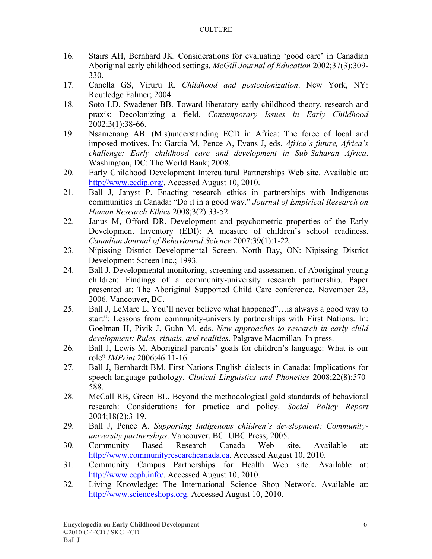- 16. Stairs AH, Bernhard JK. Considerations for evaluating 'good care' in Canadian Aboriginal early childhood settings. *McGill Journal of Education* 2002;37(3):309- 330.
- 17. Canella GS, Viruru R. *Childhood and postcolonization*. New York, NY: Routledge Falmer; 2004.
- 18. Soto LD, Swadener BB. Toward liberatory early childhood theory, research and praxis: Decolonizing a field. *Contemporary Issues in Early Childhood* 2002;3(1):38-66.
- 19. Nsamenang AB. (Mis)understanding ECD in Africa: The force of local and imposed motives. In: Garcia M, Pence A, Evans J, eds. *Africa's future, Africa's challenge: Early childhood care and development in Sub-Saharan Africa*. Washington, DC: The World Bank; 2008.
- 20. Early Childhood Development Intercultural Partnerships Web site. Available at: [http://www.ecdip.org/.](http://www.ecdip.org/) Accessed August 10, 2010.
- 21. Ball J, Janyst P. Enacting research ethics in partnerships with Indigenous communities in Canada: "Do it in a good way." *Journal of Empirical Research on Human Research Ethics* 2008;3(2):33-52.
- 22. Janus M, Offord DR. Development and psychometric properties of the Early Development Inventory (EDI): A measure of children's school readiness. *Canadian Journal of Behavioural Science* 2007;39(1):1-22.
- 23. Nipissing District Developmental Screen. North Bay, ON: Nipissing District Development Screen Inc.; 1993.
- 24. Ball J. Developmental monitoring, screening and assessment of Aboriginal young children: Findings of a community-university research partnership. Paper presented at: The Aboriginal Supported Child Care conference. November 23, 2006. Vancouver, BC.
- 25. Ball J, LeMare L. You'll never believe what happened"…is always a good way to start": Lessons from community-university partnerships with First Nations. In: Goelman H, Pivik J, Guhn M, eds. *New approaches to research in early child development: Rules, rituals, and realities*. Palgrave Macmillan. In press.
- 26. Ball J, Lewis M. Aboriginal parents' goals for children's language: What is our role? *IMPrint* 2006;46:11-16.
- 27. Ball J, Bernhardt BM. First Nations English dialects in Canada: Implications for speech-language pathology. *Clinical Linguistics and Phonetics* 2008;22(8):570- 588.
- 28. McCall RB, Green BL. Beyond the methodological gold standards of behavioral research: Considerations for practice and policy. *Social Policy Report* 2004;18(2):3-19.
- 29. Ball J, Pence A. *Supporting Indigenous children's development: Communityuniversity partnerships*. Vancouver, BC: UBC Press; 2005.
- 30. Community Based Research Canada Web site. Available at: [http://www.communityresearchcanada.ca](http://www.communityresearchcanada.ca/). Accessed August 10, 2010.
- 31. Community Campus Partnerships for Health Web site. Available at: [http://www.ccph.info/.](http://www.ccph.info/) Accessed August 10, 2010.
- 32. Living Knowledge: The International Science Shop Network. Available at: [http://www.scienceshops.org](http://www.scienceshops.org/). Accessed August 10, 2010.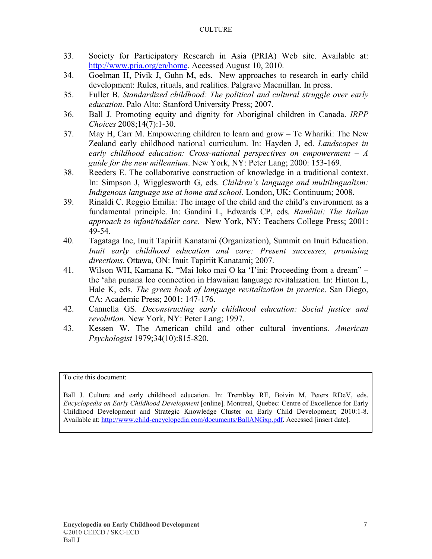#### **CULTURE**

- 33. Society for Participatory Research in Asia (PRIA) Web site. Available at: [http://www.pria.org/en/home.](http://www.pria.org/en/home) Accessed August 10, 2010.
- 34. Goelman H, Pivik J, Guhn M, eds. New approaches to research in early child development: Rules, rituals, and realities. Palgrave Macmillan. In press.
- 35. Fuller B. *Standardized childhood: The political and cultural struggle over early education*. Palo Alto: Stanford University Press; 2007.
- 36. Ball J. Promoting equity and dignity for Aboriginal children in Canada. *IRPP Choices* 2008;14(7):1-30.
- 37. May H, Carr M. Empowering children to learn and grow Te Whariki: The New Zealand early childhood national curriculum. In: Hayden J, ed. *Landscapes in early childhood education: Cross-national perspectives on empowerment – A guide for the new millennium*. New York, NY: Peter Lang; 2000: 153-169.
- 38. Reeders E. The collaborative construction of knowledge in a traditional context. In: Simpson J, Wigglesworth G, eds. *Children's language and multilingualism: Indigenous language use at home and school*. London, UK: Continuum; 2008.
- 39. Rinaldi C. Reggio Emilia: The image of the child and the child's environment as a fundamental principle. In: Gandini L, Edwards CP, eds*. Bambini: The Italian approach to infant/toddler care*. New York, NY: Teachers College Press; 2001: 49-54.
- 40. Tagataga Inc, Inuit Tapiriit Kanatami (Organization), Summit on Inuit Education. *Inuit early childhood education and care: Present successes, promising directions*. Ottawa, ON: Inuit Tapiriit Kanatami; 2007.
- 41. Wilson WH, Kamana K. "Mai loko mai O ka 'I'ini: Proceeding from a dream" the 'aha punana leo connection in Hawaiian language revitalization. In: Hinton L, Hale K, eds. *The green book of language revitalization in practice*. San Diego, CA: Academic Press; 2001: 147-176.
- 42. Cannella GS. *Deconstructing early childhood education: Social justice and revolution.* New York, NY: Peter Lang; 1997.
- 43. Kessen W. The American child and other cultural inventions. *American Psychologist* 1979;34(10):815-820.

To cite this document:

Ball J. Culture and early childhood education. In: Tremblay RE, Boivin M, Peters RDeV, eds. *Encyclopedia on Early Childhood Development* [online]. Montreal, Quebec: Centre of Excellence for Early Childhood Development and Strategic Knowledge Cluster on Early Child Development; 2010:1-8. Available at: [http://www.child-encyclopedia.com/documents/BallANGxp.pdf.](http://www.child-encyclopedia.com/documents/BallANGxp.pdf) Accessed [insert date].